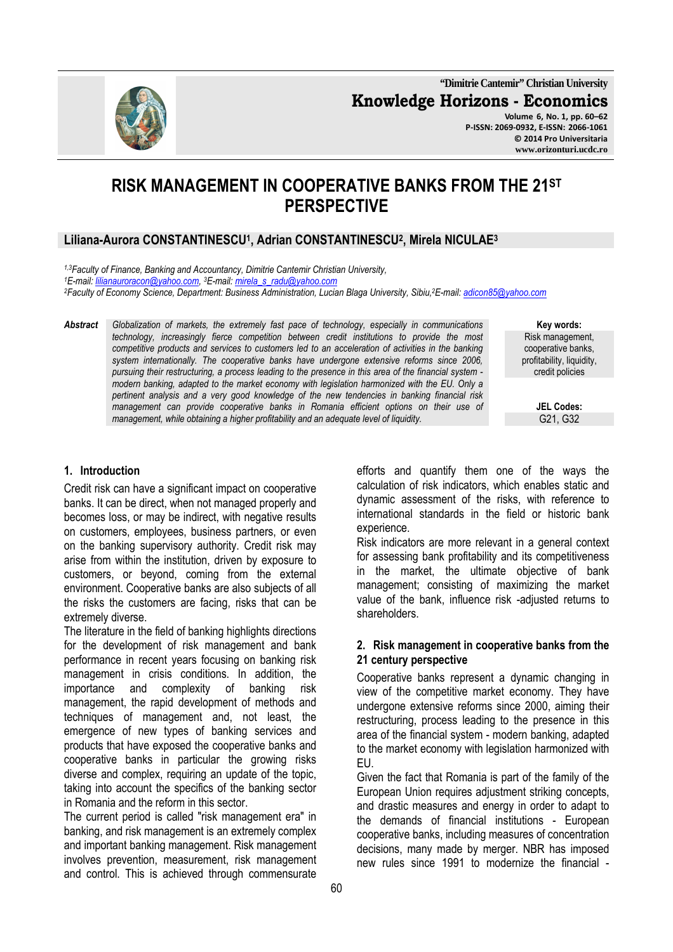**"Dimitrie Cantemir" Christian University Knowledge Horizons - Economics Volume 6, No. 1, pp. 60–62 P-ISSN: 2069-0932, E-ISSN: 2066-1061**

**© 2014 Pro Universitaria www.orizonturi.ucdc.ro** 

# **RISK MANAGEMENT IN COOPERATIVE BANKS FROM THE 21ST PERSPECTIVE**

## **Liliana-Aurora CONSTANTINESCU<sup>1</sup> , Adrian CONSTANTINESCU<sup>2</sup> , Mirela NICULAE<sup>3</sup>**

*1,3Faculty of Finance, Banking and Accountancy, Dimitrie Cantemir Christian University, <sup>1</sup>E-mail: lilianauroracon@yahoo.com, <sup>3</sup>E-mail: mirela\_s\_radu@yahoo.com <sup>2</sup>Faculty of Economy Science, Department: Business Administration, Lucian Blaga University, Sibiu,<sup>2</sup>E-mail: adicon85@yahoo.com*

*Abstract Globalization of markets, the extremely fast pace of technology, especially in communications technology, increasingly fierce competition between credit institutions to provide the most competitive products and services to customers led to an acceleration of activities in the banking system internationally. The cooperative banks have undergone extensive reforms since 2006, pursuing their restructuring, a process leading to the presence in this area of the financial system modern banking, adapted to the market economy with legislation harmonized with the EU. Only a pertinent analysis and a very good knowledge of the new tendencies in banking financial risk management can provide cooperative banks in Romania efficient options on their use of management, while obtaining a higher profitability and an adequate level of liquidity.* 

**Key words:** Risk management, cooperative banks, profitability, liquidity, credit policies

> **JEL Codes:** G21, G32

#### **1. Introduction**

Credit risk can have a significant impact on cooperative banks. It can be direct, when not managed properly and becomes loss, or may be indirect, with negative results on customers, employees, business partners, or even on the banking supervisory authority. Credit risk may arise from within the institution, driven by exposure to customers, or beyond, coming from the external environment. Cooperative banks are also subjects of all the risks the customers are facing, risks that can be extremely diverse.

The literature in the field of banking highlights directions for the development of risk management and bank performance in recent years focusing on banking risk management in crisis conditions. In addition, the importance and complexity of banking risk management, the rapid development of methods and techniques of management and, not least, the emergence of new types of banking services and products that have exposed the cooperative banks and cooperative banks in particular the growing risks diverse and complex, requiring an update of the topic, taking into account the specifics of the banking sector in Romania and the reform in this sector.

The current period is called "risk management era" in banking, and risk management is an extremely complex and important banking management. Risk management involves prevention, measurement, risk management and control. This is achieved through commensurate

efforts and quantify them one of the ways the calculation of risk indicators, which enables static and dynamic assessment of the risks, with reference to international standards in the field or historic bank experience.

Risk indicators are more relevant in a general context for assessing bank profitability and its competitiveness in the market, the ultimate objective of bank management; consisting of maximizing the market value of the bank, influence risk -adjusted returns to shareholders.

### **2. Risk management in cooperative banks from the 21 century perspective**

Cooperative banks represent a dynamic changing in view of the competitive market economy. They have undergone extensive reforms since 2000, aiming their restructuring, process leading to the presence in this area of the financial system - modern banking, adapted to the market economy with legislation harmonized with EU.

Given the fact that Romania is part of the family of the European Union requires adjustment striking concepts, and drastic measures and energy in order to adapt to the demands of financial institutions - European cooperative banks, including measures of concentration decisions, many made by merger. NBR has imposed new rules since 1991 to modernize the financial -

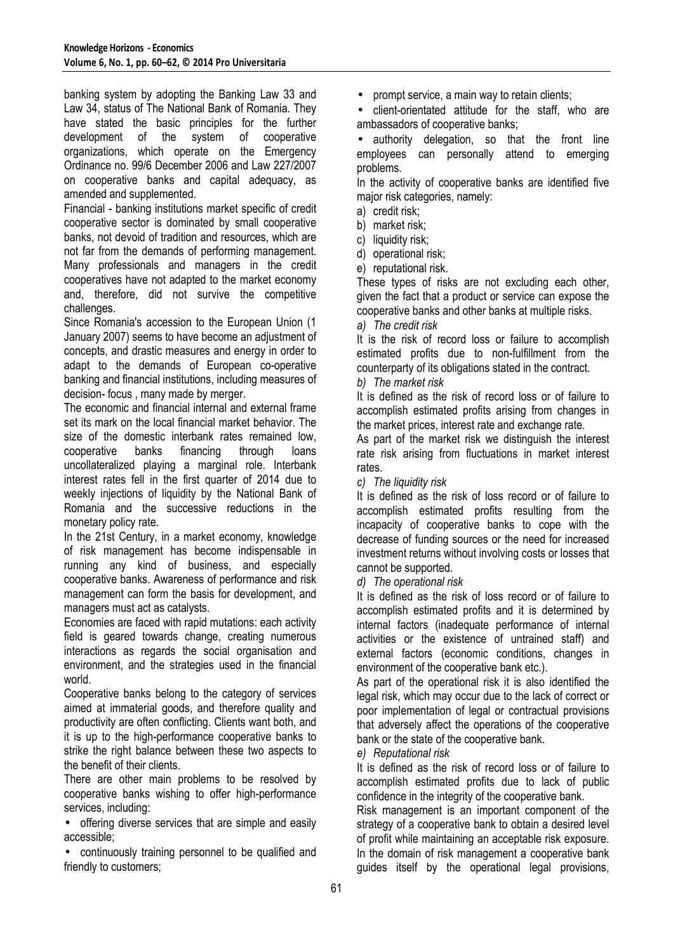banking system by adopting the Banking Law 33 and Law 34, status of The National Bank of Romania. They have stated the basic principles for the further development of the system of cooperative organizations, which operate on the Emergency Ordinance no. 99/6 December 2006 and Law 227/2007 on cooperative banks and capital adequacy, as amended and supplemented.

Financial - banking institutions market specific of credit cooperative sector is dominated by small cooperative banks, not devoid of tradition and resources, which are not far from the demands of performing management. Many professionals and managers in the credit cooperatives have not adapted to the market economy and, therefore, did not survive the competitive challenges.

Since Romania's accession to the European Union (1 January 2007) seems to have become an adjustment of concepts, and drastic measures and energy in order to adapt to the demands of European co-operative banking and financial institutions, including measures of decision- focus , many made by merger.

The economic and financial internal and external frame set its mark on the local financial market behavior. The size of the domestic interbank rates remained low. cooperative banks financing through loans uncollateralized playing a marginal role. Interbank interest rates fell in the first quarter of 2014 due to weekly injections of liquidity by the National Bank of Romania and the successive reductions in the monetary policy rate.

In the 21st Century, in a market economy, knowledge of risk management has become indispensable in running any kind of business, and especially cooperative banks. Awareness of performance and risk management can form the basis for development, and managers must act as catalysts.

Economies are faced with rapid mutations: each activity field is geared towards change, creating numerous interactions as regards the social organisation and environment, and the strategies used in the financial world.

Cooperative banks belong to the category of services aimed at immaterial goods, and therefore quality and productivity are often conflicting. Clients want both, and it is up to the high-performance cooperative banks to strike the right balance between these two aspects to the benefit of their clients.

There are other main problems to be resolved by cooperative banks wishing to offer high-performance services, including:

• offering diverse services that are simple and easily accessible;

• continuously training personnel to be qualified and friendly to customers;

• prompt service, a main way to retain clients;

• client-orientated attitude for the staff, who are ambassadors of cooperative banks;

authority delegation, so that the front line employees can personally attend to emerging problems.

In the activity of cooperative banks are identified five major risk categories, namely:

- a) credit risk;
- b) market risk;
- c) liquidity risk;
- d) operational risk;
- e) reputational risk.

These types of risks are not excluding each other, given the fact that a product or service can expose the cooperative banks and other banks at multiple risks.

*a) The credit risk* 

It is the risk of record loss or failure to accomplish estimated profits due to non-fulfillment from the counterparty of its obligations stated in the contract.

### *b) The market risk*

It is defined as the risk of record loss or of failure to accomplish estimated profits arising from changes in the market prices, interest rate and exchange rate.

As part of the market risk we distinguish the interest rate risk arising from fluctuations in market interest rates.

*c) The liquidity risk* 

It is defined as the risk of loss record or of failure to accomplish estimated profits resulting from the incapacity of cooperative banks to cope with the decrease of funding sources or the need for increased investment returns without involving costs or losses that cannot be supported.

*d) The operational risk* 

It is defined as the risk of loss record or of failure to accomplish estimated profits and it is determined by internal factors (inadequate performance of internal activities or the existence of untrained staff) and external factors (economic conditions, changes in environment of the cooperative bank etc.).

As part of the operational risk it is also identified the legal risk, which may occur due to the lack of correct or poor implementation of legal or contractual provisions that adversely affect the operations of the cooperative bank or the state of the cooperative bank.

### *e) Reputational risk*

It is defined as the risk of record loss or of failure to accomplish estimated profits due to lack of public confidence in the integrity of the cooperative bank.

Risk management is an important component of the strategy of a cooperative bank to obtain a desired level of profit while maintaining an acceptable risk exposure. In the domain of risk management a cooperative bank guides itself by the operational legal provisions,